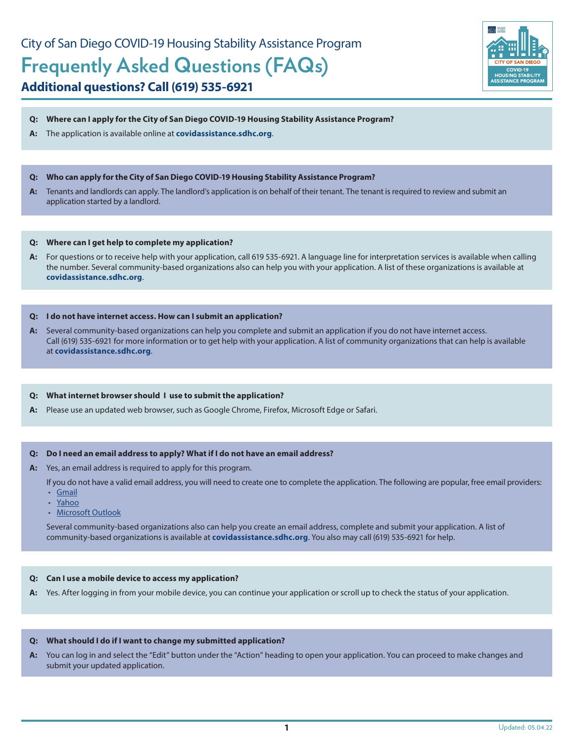# **Additional questions? Call (619) 535-6921**



#### **Q: Where can I apply for the City of San Diego COVID-19 Housing Stability Assistance Program?**

- **A:** The application is available online at **[covidassistance.sdhc.org](http://covidassistance.sdhc.org)**.
- **Q: Who can apply for the City of San Diego COVID-19 Housing Stability Assistance Program?**
- **A:** Tenants and landlords can apply. The landlord's application is on behalf of their tenant. The tenant is required to review and submit an application started by a landlord.

#### **Q: Where can I get help to complete my application?**

**A:** For questions or to receive help with your application, call 619 535-6921. A language line for interpretation services is available when calling the number. Several community-based organizations also can help you with your application. A list of these organizations is available at **[covidassistance.sdhc.org](http://covidassistance.sdhc.org)**.

#### **Q: I do not have internet access. How can I submit an application?**

**A:** Several community-based organizations can help you complete and submit an application if you do not have internet access. Call (619) 535-6921 for more information or to get help with your application. A list of community organizations that can help is available at **[covidassistance.sdhc.org](http://covidassistance.sdhc.org)**.

#### **Q: What internet browser should I use to submit the application?**

**A:** Please use an updated web browser, such as Google Chrome, Firefox, Microsoft Edge or Safari.

#### **Q: Do I need an email address to apply? What if I do not have an email address?**

- **A:** Yes, an email address is required to apply for this program.
	- If you do not have a valid email address, you will need to create one to complete the application. The following are popular, free email providers:
	- [Gmail](https://www.google.com/gmail/about/)
	- [Yahoo](https://login.yahoo.com/account/create)
	- [Microsoft Outlook](https://login.live.com/login.srf?wa=wsignin1.0&rpsnv=13&ct=1594216987&rver=7.0.6737.0&wp=MBI_SSL&wreply=https%3a%2f%2foutlook.live.com%2fowa%2f%3fRpsCsrfState%3d0171de34-4e3b-9f0b-d373-b62c7e465ff3&id=292841&aadredir=1&CBCXT=out&lw=1&fl=dob%2cflname%2cwld&cobrandid=90015)

Several community-based organizations also can help you create an email address, complete and submit your application. A list of community-based organizations is available at **[covidassistance.sdhc.org](http://covidassistance.sdhc.org)**. You also may call (619) 535-6921 for help.

#### **Q: Can I use a mobile device to access my application?**

**A:** Yes. After logging in from your mobile device, you can continue your application or scroll up to check the status of your application.

#### **Q: What should I do if I want to change my submitted application?**

**A:** You can log in and select the "Edit" button under the "Action" heading to open your application. You can proceed to make changes and submit your updated application.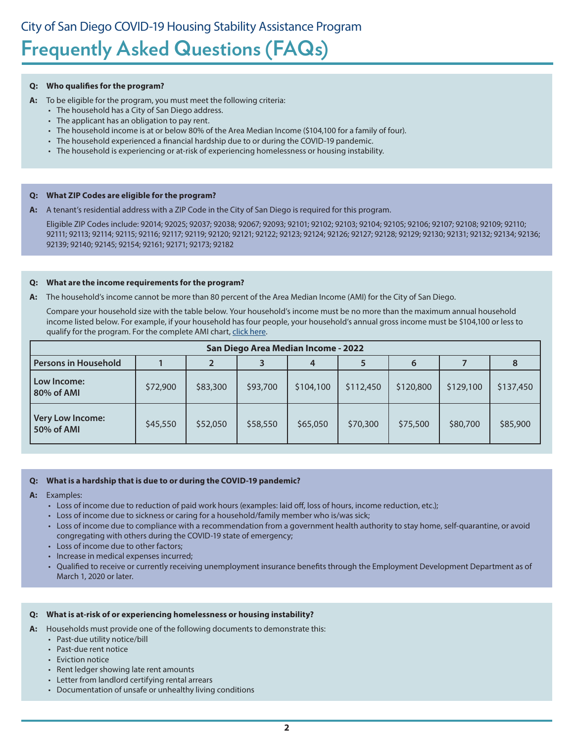#### **Q: Who qualifies for the program?**

- **A:** To be eligible for the program, you must meet the following criteria:
	- The household has a City of San Diego address.
	- The applicant has an obligation to pay rent.
	- The household income is at or below 80% of the Area Median Income (\$104,100 for a family of four).
	- The household experienced a financial hardship due to or during the COVID-19 pandemic.
	- The household is experiencing or at-risk of experiencing homelessness or housing instability.

#### **Q: What ZIP Codes are eligible for the program?**

**A:** A tenant's residential address with a ZIP Code in the City of San Diego is required for this program.

Eligible ZIP Codes include: 92014; 92025; 92037; 92038; 92067; 92093; 92101; 92102; 92103; 92104; 92105; 92106; 92107; 92108; 92109; 92110; 92111; 92113; 92114; 92115; 92116; 92117; 92119; 92120; 92121; 92122; 92123; 92124; 92126; 92127; 92128; 92129; 92130; 92131; 92132; 92134; 92136; 92139; 92140; 92145; 92154; 92161; 92171; 92173; 92182

#### **Q: What are the income requirements for the program?**

**A:** The household's income cannot be more than 80 percent of the Area Median Income (AMI) for the City of San Diego.

Compare your household size with the table below. Your household's income must be no more than the maximum annual household income listed below. For example, if your household has four people, your household's annual gross income must be \$104,100 or less to qualify for the program. For the complete AMI chart, [click here.](https://www.sdhc.org/wp-content/uploads/2018/05/AMIIncomeLimits.pdf)

| San Diego Area Median Income - 2022   |          |          |          |           |           |           |           |           |  |  |  |  |
|---------------------------------------|----------|----------|----------|-----------|-----------|-----------|-----------|-----------|--|--|--|--|
| <b>Persons in Household</b>           |          |          |          |           |           | 6         |           |           |  |  |  |  |
| Low Income:<br>80% of AMI             | \$72,900 | \$83,300 | \$93,700 | \$104,100 | \$112,450 | \$120,800 | \$129,100 | \$137,450 |  |  |  |  |
| <b>Very Low Income:</b><br>50% of AMI | \$45,550 | \$52,050 | \$58,550 | \$65,050  | \$70,300  | \$75,500  | \$80,700  | \$85,900  |  |  |  |  |

#### **Q: What is a hardship that is due to or during the COVID-19 pandemic?**

- **A:** Examples:
	- Loss of income due to reduction of paid work hours (examples: laid off, loss of hours, income reduction, etc.);
	- Loss of income due to sickness or caring for a household/family member who is/was sick;
	- Loss of income due to compliance with a recommendation from a government health authority to stay home, self-quarantine, or avoid congregating with others during the COVID-19 state of emergency;
	- Loss of income due to other factors;
	- Increase in medical expenses incurred;
	- Qualified to receive or currently receiving unemployment insurance benefits through the Employment Development Department as of March 1, 2020 or later.

#### **Q: What is at-risk of or experiencing homelessness or housing instability?**

- **A:** Households must provide one of the following documents to demonstrate this:
	- Past-due utility notice/bill
	- Past-due rent notice
	- Eviction notice
	- Rent ledger showing late rent amounts
	- Letter from landlord certifying rental arrears
	- Documentation of unsafe or unhealthy living conditions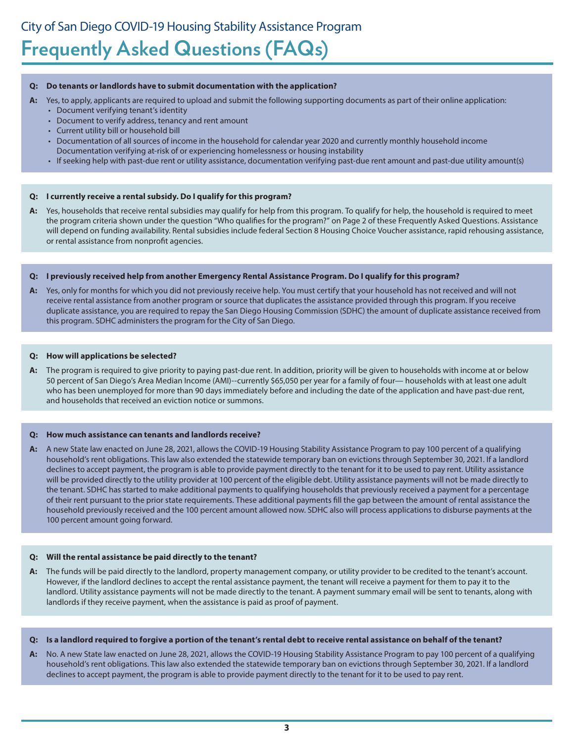#### **Q: Do tenants or landlords have to submit documentation with the application?**

- **A:** Yes, to apply, applicants are required to upload and submit the following supporting documents as part of their online application:
	- Document verifying tenant's identity
	- Document to verify address, tenancy and rent amount
	- Current utility bill or household bill
	- Documentation of all sources of income in the household for calendar year 2020 and currently monthly household income Documentation verifying at-risk of or experiencing homelessness or housing instability
	- If seeking help with past-due rent or utility assistance, documentation verifying past-due rent amount and past-due utility amount(s)

#### **Q: I currently receive a rental subsidy. Do I qualify for this program?**

**A:** Yes, households that receive rental subsidies may qualify for help from this program. To qualify for help, the household is required to meet the program criteria shown under the question "Who qualifies for the program?" on Page 2 of these Frequently Asked Questions. Assistance will depend on funding availability. Rental subsidies include federal Section 8 Housing Choice Voucher assistance, rapid rehousing assistance, or rental assistance from nonprofit agencies.

#### **Q: I previously received help from another Emergency Rental Assistance Program. Do I qualify for this program?**

**A:** Yes, only for months for which you did not previously receive help. You must certify that your household has not received and will not receive rental assistance from another program or source that duplicates the assistance provided through this program. If you receive duplicate assistance, you are required to repay the San Diego Housing Commission (SDHC) the amount of duplicate assistance received from this program. SDHC administers the program for the City of San Diego.

#### **Q: How will applications be selected?**

**A:** The program is required to give priority to paying past-due rent. In addition, priority will be given to households with income at or below 50 percent of San Diego's Area Median Income (AMI)--currently \$65,050 per year for a family of four— households with at least one adult who has been unemployed for more than 90 days immediately before and including the date of the application and have past-due rent, and households that received an eviction notice or summons.

#### **Q: How much assistance can tenants and landlords receive?**

**A:** A new State law enacted on June 28, 2021, allows the COVID-19 Housing Stability Assistance Program to pay 100 percent of a qualifying household's rent obligations. This law also extended the statewide temporary ban on evictions through September 30, 2021. If a landlord declines to accept payment, the program is able to provide payment directly to the tenant for it to be used to pay rent. Utility assistance will be provided directly to the utility provider at 100 percent of the eligible debt. Utility assistance payments will not be made directly to the tenant. SDHC has started to make additional payments to qualifying households that previously received a payment for a percentage of their rent pursuant to the prior state requirements. These additional payments fill the gap between the amount of rental assistance the household previously received and the 100 percent amount allowed now. SDHC also will process applications to disburse payments at the 100 percent amount going forward.

#### **Q: Will the rental assistance be paid directly to the tenant?**

**A:** The funds will be paid directly to the landlord, property management company, or utility provider to be credited to the tenant's account. However, if the landlord declines to accept the rental assistance payment, the tenant will receive a payment for them to pay it to the landlord. Utility assistance payments will not be made directly to the tenant. A payment summary email will be sent to tenants, along with landlords if they receive payment, when the assistance is paid as proof of payment.

#### **Q: Is a landlord required to forgive a portion of the tenant's rental debt to receive rental assistance on behalf of the tenant?**

**A:** No. A new State law enacted on June 28, 2021, allows the COVID-19 Housing Stability Assistance Program to pay 100 percent of a qualifying household's rent obligations. This law also extended the statewide temporary ban on evictions through September 30, 2021. If a landlord declines to accept payment, the program is able to provide payment directly to the tenant for it to be used to pay rent.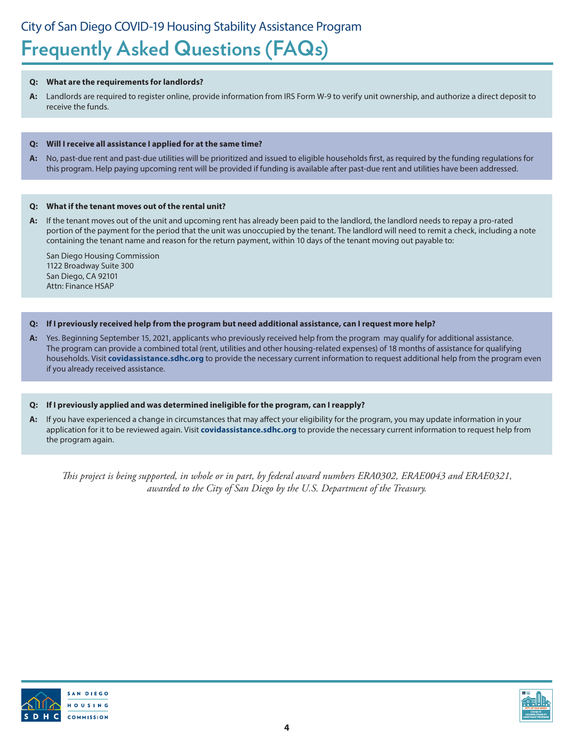### **Q: What are the requirements for landlords?**

**A:** Landlords are required to register online, provide information from IRS Form W-9 to verify unit ownership, and authorize a direct deposit to receive the funds.

### **Q: Will I receive all assistance I applied for at the same time?**

**A:** No, past-due rent and past-due utilities will be prioritized and issued to eligible households first, as required by the funding regulations for this program. Help paying upcoming rent will be provided if funding is available after past-due rent and utilities have been addressed.

### **Q: What if the tenant moves out of the rental unit?**

**A:** If the tenant moves out of the unit and upcoming rent has already been paid to the landlord, the landlord needs to repay a pro-rated portion of the payment for the period that the unit was unoccupied by the tenant. The landlord will need to remit a check, including a note containing the tenant name and reason for the return payment, within 10 days of the tenant moving out payable to:

San Diego Housing Commission 1122 Broadway Suite 300 San Diego, CA 92101 Attn: Finance HSAP

## **Q: If I previously received help from the program but need additional assistance, can I request more help?**

**A:** Yes. Beginning September 15, 2021, applicants who previously received help from the program may qualify for additional assistance. The program can provide a combined total (rent, utilities and other housing-related expenses) of 18 months of assistance for qualifying households. Visit **[covidassistance.sdhc.org](http://covidassistance.sdhc.org)** to provide the necessary current information to request additional help from the program even if you already received assistance.

## **Q: If I previously applied and was determined ineligible for the program, can I reapply?**

**A:** If you have experienced a change in circumstances that may affect your eligibility for the program, you may update information in your application for it to be reviewed again. Visit **[covidassistance.sdhc.org](http://covidassistance.sdhc.org)** to provide the necessary current information to request help from the program again.

*This project is being supported, in whole or in part, by federal award numbers ERA0302, ERAE0043 and ERAE0321, awarded to the City of San Diego by the U.S. Department of the Treasury.*



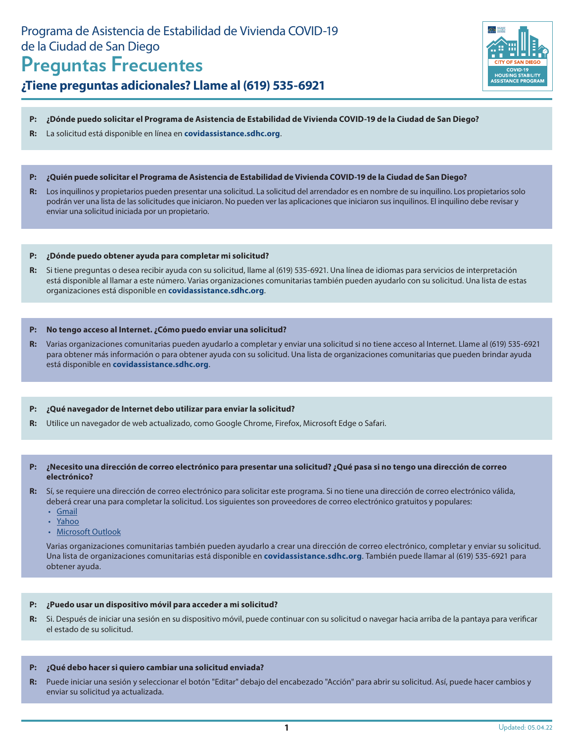# Programa de Asistencia de Estabilidad de Vivienda COVID-19 de la Ciudad de San Diego

# **Preguntas Frecuentes**

# **¿Tiene preguntas adicionales? Llame al (619) 535-6921**



#### **P: ¿Dónde puedo solicitar el Programa de Asistencia de Estabilidad de Vivienda COVID-19 de la Ciudad de San Diego?**

- **R:** La solicitud está disponible en línea en **[covidassistance.sdhc.org](http://covidassistance.sdhc.org)**.
- **P: ¿Quién puede solicitar el Programa de Asistencia de Estabilidad de Vivienda COVID-19 de la Ciudad de San Diego?**
- **R:** Los inquilinos y propietarios pueden presentar una solicitud. La solicitud del arrendador es en nombre de su inquilino. Los propietarios solo podrán ver una lista de las solicitudes que iniciaron. No pueden ver las aplicaciones que iniciaron sus inquilinos. El inquilino debe revisar y enviar una solicitud iniciada por un propietario.

#### **P: ¿Dónde puedo obtener ayuda para completar mi solicitud?**

**R:** Si tiene preguntas o desea recibir ayuda con su solicitud, llame al (619) 535-6921. Una línea de idiomas para servicios de interpretación está disponible al llamar a este número. Varias organizaciones comunitarias también pueden ayudarlo con su solicitud. Una lista de estas organizaciones está disponible en **[covidassistance.sdhc.org](http://covidassistance.sdhc.org)**.

#### **P: No tengo acceso al Internet. ¿Cómo puedo enviar una solicitud?**

**R:** Varias organizaciones comunitarias pueden ayudarlo a completar y enviar una solicitud si no tiene acceso al Internet. Llame al (619) 535-6921 para obtener más información o para obtener ayuda con su solicitud. Una lista de organizaciones comunitarias que pueden brindar ayuda está disponible en **[covidassistance.sdhc.org](http://covidassistance.sdhc.org)**.

#### **P: ¿Qué navegador de Internet debo utilizar para enviar la solicitud?**

**R:** Utilice un navegador de web actualizado, como Google Chrome, Firefox, Microsoft Edge o Safari.

#### **P: ¿Necesito una dirección de correo electrónico para presentar una solicitud? ¿Qué pasa si no tengo una dirección de correo electrónico?**

- **R:** Sí, se requiere una dirección de correo electrónico para solicitar este programa. Si no tiene una dirección de correo electrónico válida, deberá crear una para completar la solicitud. Los siguientes son proveedores de correo electrónico gratuitos y populares:
	- [Gmail](https://www.google.com/gmail/about/)
	- [Yahoo](https://login.yahoo.com/account/create)
	- [Microsoft Outlook](https://login.live.com/login.srf?wa=wsignin1.0&rpsnv=13&ct=1594216987&rver=7.0.6737.0&wp=MBI_SSL&wreply=https%3a%2f%2foutlook.live.com%2fowa%2f%3fRpsCsrfState%3d0171de34-4e3b-9f0b-d373-b62c7e465ff3&id=292841&aadredir=1&CBCXT=out&lw=1&fl=dob%2cflname%2cwld&cobrandid=90015)

Varias organizaciones comunitarias también pueden ayudarlo a crear una dirección de correo electrónico, completar y enviar su solicitud. Una lista de organizaciones comunitarias está disponible en **[covidassistance.sdhc.org](http://covidassistance.sdhc.org)**. También puede llamar al (619) 535-6921 para obtener ayuda.

#### **P: ¿Puedo usar un dispositivo móvil para acceder a mi solicitud?**

**R:** Si. Después de iniciar una sesión en su dispositivo móvil, puede continuar con su solicitud o navegar hacia arriba de la pantaya para verificar el estado de su solicitud.

#### **P: ¿Qué debo hacer si quiero cambiar una solicitud enviada?**

**R:** Puede iniciar una sesión y seleccionar el botón "Editar" debajo del encabezado "Acción" para abrir su solicitud. Así, puede hacer cambios y enviar su solicitud ya actualizada.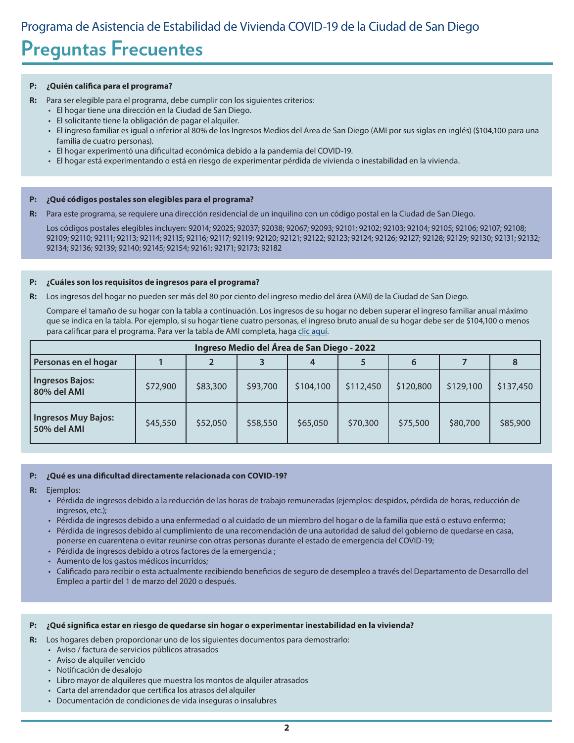# **Preguntas Frecuentes**

#### **P: ¿Quién califica para el programa?**

- **R:** Para ser elegible para el programa, debe cumplir con los siguientes criterios:
	- El hogar tiene una dirección en la Ciudad de San Diego.
	- El solicitante tiene la obligación de pagar el alquiler.
	- El ingreso familiar es igual o inferior al 80% de los Ingresos Medios del Area de San Diego (AMI por sus siglas en inglés) (\$104,100 para una familia de cuatro personas).
	- El hogar experimentó una dificultad económica debido a la pandemia del COVID-19.
	- El hogar está experimentando o está en riesgo de experimentar pérdida de vivienda o inestabilidad en la vivienda.

#### **P: ¿Qué códigos postales son elegibles para el programa?**

**R:** Para este programa, se requiere una dirección residencial de un inquilino con un código postal en la Ciudad de San Diego.

Los códigos postales elegibles incluyen: 92014; 92025; 92037; 92038; 92067; 92093; 92101; 92102; 92103; 92104; 92105; 92106; 92107; 92108; 92109; 92110; 92111; 92113; 92114; 92115; 92116; 92117; 92119; 92120; 92121; 92122; 92123; 92124; 92126; 92127; 92128; 92129; 92130; 92131; 92132; 92134; 92136; 92139; 92140; 92145; 92154; 92161; 92171; 92173; 92182

#### **P: ¿Cuáles son los requisitos de ingresos para el programa?**

**R:** Los ingresos del hogar no pueden ser más del 80 por ciento del ingreso medio del área (AMI) de la Ciudad de San Diego.

Compare el tamaño de su hogar con la tabla a continuación. Los ingresos de su hogar no deben superar el ingreso familiar anual máximo que se indica en la tabla. Por ejemplo, si su hogar tiene cuatro personas, el ingreso bruto anual de su hogar debe ser de \$104,100 o menos para calificar para el programa. Para ver la tabla de AMI completa, haga [clic aquí](https://www.sdhc.org/wp-content/uploads/2018/05/AMIIncomeLimits.pdf).

| Ingreso Medio del Área de San Diego - 2022 |          |          |          |           |           |           |           |           |  |  |  |
|--------------------------------------------|----------|----------|----------|-----------|-----------|-----------|-----------|-----------|--|--|--|
| Personas en el hogar                       |          |          |          |           |           | 6         |           |           |  |  |  |
| <b>Ingresos Bajos:</b><br>80% del AMI      | \$72,900 | \$83,300 | \$93,700 | \$104,100 | \$112,450 | \$120,800 | \$129,100 | \$137,450 |  |  |  |
| <b>Ingresos Muy Bajos:</b><br>50% del AMI  | \$45,550 | \$52,050 | \$58,550 | \$65,050  | \$70,300  | \$75,500  | \$80,700  | \$85,900  |  |  |  |

#### **P: ¿Qué es una dificultad directamente relacionada con COVID-19?**

- **R:** Ejemplos:
	- Pérdida de ingresos debido a la reducción de las horas de trabajo remuneradas (ejemplos: despidos, pérdida de horas, reducción de ingresos, etc.);
	- Pérdida de ingresos debido a una enfermedad o al cuidado de un miembro del hogar o de la familia que está o estuvo enfermo;
	- Pérdida de ingresos debido al cumplimiento de una recomendación de una autoridad de salud del gobierno de quedarse en casa, ponerse en cuarentena o evitar reunirse con otras personas durante el estado de emergencia del COVID-19;
	- Pérdida de ingresos debido a otros factores de la emergencia ;
	- Aumento de los gastos médicos incurridos;
	- Calificado para recibir o esta actualmente recibiendo beneficios de seguro de desempleo a través del Departamento de Desarrollo del Empleo a partir del 1 de marzo del 2020 o después.

#### **P: ¿Qué significa estar en riesgo de quedarse sin hogar o experimentar inestabilidad en la vivienda?**

- **R:** Los hogares deben proporcionar uno de los siguientes documentos para demostrarlo:
	- Aviso / factura de servicios públicos atrasados
	- Aviso de alquiler vencido
	- Notificación de desalojo
	- Libro mayor de alquileres que muestra los montos de alquiler atrasados
	- Carta del arrendador que certifica los atrasos del alquiler
	- Documentación de condiciones de vida inseguras o insalubres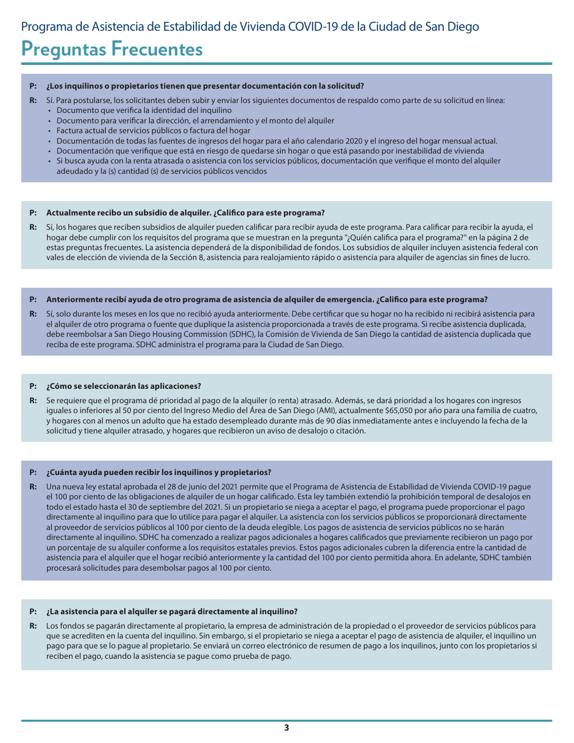# **Preguntas Frecuentes**

#### **P: ¿Los inquilinos o propietarios tienen que presentar documentación con la solicitud?**

- **R:** Sí. Para postularse, los solicitantes deben subir y enviar los siguientes documentos de respaldo como parte de su solicitud en línea:
	- Documento que verifica la identidad del inquilino
	- Documento para verificar la dirección, el arrendamiento y el monto del alquiler
	- Factura actual de servicios públicos o factura del hogar
	- Documentación de todas las fuentes de ingresos del hogar para el año calendario 2020 y el ingreso del hogar mensual actual.
	- Documentación que verifique que está en riesgo de quedarse sin hogar o que está pasando por inestabilidad de vivienda
	- Si busca ayuda con la renta atrasada o asistencia con los servicios públicos, documentación que verifique el monto del alquiler adeudado y la (s) cantidad (s) de servicios públicos vencidos

#### **P: Actualmente recibo un subsidio de alquiler. ¿Califico para este programa?**

**R:** Sí, los hogares que reciben subsidios de alquiler pueden calificar para recibir ayuda de este programa. Para calificar para recibir la ayuda, el hogar debe cumplir con los requisitos del programa que se muestran en la pregunta "¿Quién califica para el programa?" en la página 2 de estas preguntas frecuentes. La asistencia dependerá de la disponibilidad de fondos. Los subsidios de alquiler incluyen asistencia federal con vales de elección de vivienda de la Sección 8, asistencia para realojamiento rápido o asistencia para alquiler de agencias sin fines de lucro.

#### **P: Anteriormente recibí ayuda de otro programa de asistencia de alquiler de emergencia. ¿Califico para este programa?**

**R:** Sí, solo durante los meses en los que no recibió ayuda anteriormente. Debe certificar que su hogar no ha recibido ni recibirá asistencia para el alquiler de otro programa o fuente que duplique la asistencia proporcionada a través de este programa. Si recibe asistencia duplicada, debe reembolsar a San Diego Housing Commission (SDHC), la Comisión de Vivienda de San Diego la cantidad de asistencia duplicada que reciba de este programa. SDHC administra el programa para la Ciudad de San Diego.

#### **P: ¿Cómo se seleccionarán las aplicaciones?**

**R:** Se requiere que el programa dé prioridad al pago de la alquiler (o renta) atrasado. Además, se dará prioridad a los hogares con ingresos iguales o inferiores al 50 por ciento del Ingreso Medio del Área de San Diego (AMI), actualmente \$65,050 por año para una familia de cuatro, y hogares con al menos un adulto que ha estado desempleado durante más de 90 días inmediatamente antes e incluyendo la fecha de la solicitud y tiene alquiler atrasado, y hogares que recibieron un aviso de desalojo o citación.

#### **P: ¿Cuánta ayuda pueden recibir los inquilinos y propietarios?**

**R:** Una nueva ley estatal aprobada el 28 de junio del 2021 permite que el Programa de Asistencia de Estabilidad de Vivienda COVID-19 pague el 100 por ciento de las obligaciones de alquiler de un hogar calificado. Esta ley también extendió la prohibición temporal de desalojos en todo el estado hasta el 30 de septiembre del 2021. Si un propietario se niega a aceptar el pago, el programa puede proporcionar el pago directamente al inquilino para que lo utilice para pagar el alquiler. La asistencia con los servicios públicos se proporcionará directamente al proveedor de servicios públicos al 100 por ciento de la deuda elegible. Los pagos de asistencia de servicios públicos no se harán directamente al inquilino. SDHC ha comenzado a realizar pagos adicionales a hogares calificados que previamente recibieron un pago por un porcentaje de su alquiler conforme a los requisitos estatales previos. Estos pagos adicionales cubren la diferencia entre la cantidad de asistencia para el alquiler que el hogar recibió anteriormente y la cantidad del 100 por ciento permitida ahora. En adelante, SDHC también procesará solicitudes para desembolsar pagos al 100 por ciento.

#### **P: ¿La asistencia para el alquiler se pagará directamente al inquilino?**

**R:** Los fondos se pagarán directamente al propietario, la empresa de administración de la propiedad o el proveedor de servicios públicos para que se acrediten en la cuenta del inquilino. Sin embargo, si el propietario se niega a aceptar el pago de asistencia de alquiler, el inquilino un pago para que se lo pague al propietario. Se enviará un correo electrónico de resumen de pago a los inquilinos, junto con los propietarios si reciben el pago, cuando la asistencia se pague como prueba de pago.